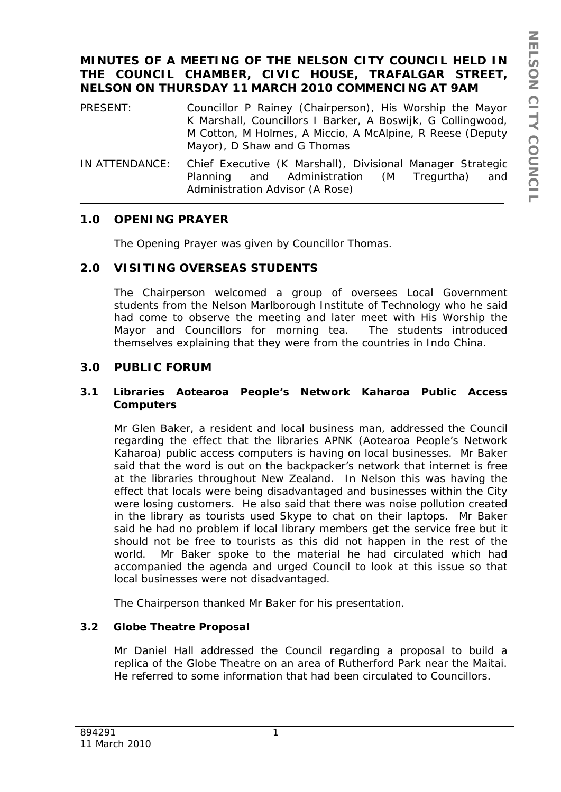# **MINUTES OF A MEETING OF THE NELSON CITY COUNCIL HELD IN THE COUNCIL CHAMBER, CIVIC HOUSE, TRAFALGAR STREET, NELSON ON THURSDAY 11 MARCH 2010 COMMENCING AT 9AM**

- PRESENT: Councillor P Rainey (Chairperson), His Worship the Mayor K Marshall, Councillors I Barker, A Boswijk, G Collingwood, M Cotton, M Holmes, A Miccio, A McAlpine, R Reese (Deputy Mayor), D Shaw and G Thomas
- IN ATTENDANCE: Chief Executive (K Marshall), Divisional Manager Strategic Planning and Administration (M Tregurtha) and Administration Advisor (A Rose)

# **1.0 OPENING PRAYER**

The Opening Prayer was given by Councillor Thomas.

# **2.0 VISITING OVERSEAS STUDENTS**

The Chairperson welcomed a group of oversees Local Government students from the Nelson Marlborough Institute of Technology who he said had come to observe the meeting and later meet with His Worship the Mayor and Councillors for morning tea. The students introduced themselves explaining that they were from the countries in Indo China.

# **3.0 PUBLIC FORUM**

## **3.1 Libraries Aotearoa People's Network Kaharoa Public Access Computers**

Mr Glen Baker, a resident and local business man, addressed the Council regarding the effect that the libraries APNK (Aotearoa People's Network Kaharoa) public access computers is having on local businesses. Mr Baker said that the word is out on the backpacker's network that internet is free at the libraries throughout New Zealand. In Nelson this was having the effect that locals were being disadvantaged and businesses within the City were losing customers. He also said that there was noise pollution created in the library as tourists used Skype to chat on their laptops. Mr Baker said he had no problem if local library members get the service free but it should not be free to tourists as this did not happen in the rest of the world. Mr Baker spoke to the material he had circulated which had accompanied the agenda and urged Council to look at this issue so that local businesses were not disadvantaged.

The Chairperson thanked Mr Baker for his presentation.

# **3.2 Globe Theatre Proposal**

Mr Daniel Hall addressed the Council regarding a proposal to build a replica of the Globe Theatre on an area of Rutherford Park near the Maitai. He referred to some information that had been circulated to Councillors.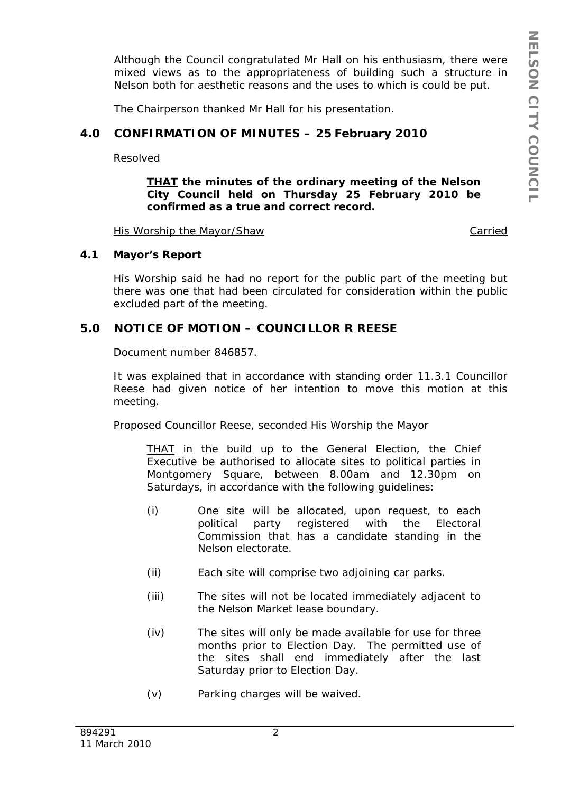Although the Council congratulated Mr Hall on his enthusiasm, there were mixed views as to the appropriateness of building such a structure in Nelson both for aesthetic reasons and the uses to which is could be put.

The Chairperson thanked Mr Hall for his presentation.

## **4.0 CONFIRMATION OF MINUTES – 25 February 2010**

Resolved

### *THAT the minutes of the ordinary meeting of the Nelson City Council held on Thursday 25 February 2010 be confirmed as a true and correct record.*

His Worship the Mayor/Shaw Carried

#### **4.1 Mayor's Report**

His Worship said he had no report for the public part of the meeting but there was one that had been circulated for consideration within the public excluded part of the meeting.

## **5.0 NOTICE OF MOTION – COUNCILLOR R REESE**

Document number 846857.

It was explained that in accordance with standing order 11.3.1 Councillor Reese had given notice of her intention to move this motion at this meeting.

Proposed Councillor Reese, seconded His Worship the Mayor

*THAT in the build up to the General Election, the Chief Executive be authorised to allocate sites to political parties in Montgomery Square, between 8.00am and 12.30pm on Saturdays, in accordance with the following guidelines:* 

- *(i) One site will be allocated, upon request, to each political party registered with the Electoral Commission that has a candidate standing in the Nelson electorate.*
- *(ii) Each site will comprise two adjoining car parks.*
- *(iii) The sites will not be located immediately adjacent to the Nelson Market lease boundary.*
- *(iv) The sites will only be made available for use for three months prior to Election Day. The permitted use of the sites shall end immediately after the last Saturday prior to Election Day.*
- *(v) Parking charges will be waived.*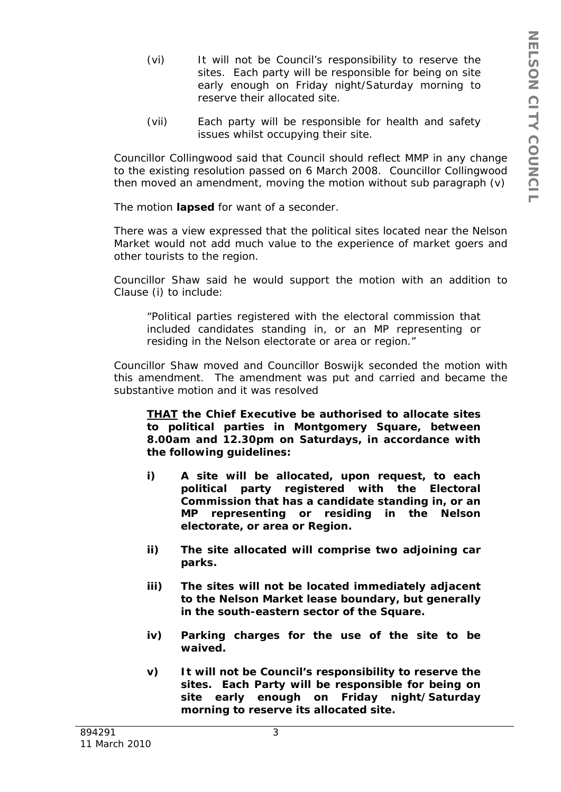- *(vi) It will not be Council's responsibility to reserve the sites. Each party will be responsible for being on site early enough on Friday night/Saturday morning to reserve their allocated site.*
- *(vii) Each party will be responsible for health and safety issues whilst occupying their site.*

Councillor Collingwood said that Council should reflect MMP in any change to the existing resolution passed on 6 March 2008. Councillor Collingwood then moved an amendment, moving the motion without sub paragraph (v)

The motion **lapsed** for want of a seconder.

There was a view expressed that the political sites located near the Nelson Market would not add much value to the experience of market goers and other tourists to the region.

Councillor Shaw said he would support the motion with an addition to Clause (i) to include:

*"Political parties registered with the electoral commission that included candidates standing in, or an MP representing or residing in the Nelson electorate or area or region."* 

Councillor Shaw moved and Councillor Boswijk seconded the motion with this amendment. The amendment was put and carried and became the substantive motion and it was resolved

*THAT the Chief Executive be authorised to allocate sites to political parties in Montgomery Square, between 8.00am and 12.30pm on Saturdays, in accordance with the following guidelines:* 

- *i) A site will be allocated, upon request, to each political party registered with the Electoral Commission that has a candidate standing in, or an MP representing or residing in the Nelson electorate, or area or Region.*
- *ii) The site allocated will comprise two adjoining car parks.*
- *iii) The sites will not be located immediately adjacent to the Nelson Market lease boundary, but generally in the south-eastern sector of the Square.*
- *iv) Parking charges for the use of the site to be waived.*
- *v) It will not be Council's responsibility to reserve the sites. Each Party will be responsible for being on site early enough on Friday night/Saturday morning to reserve its allocated site.*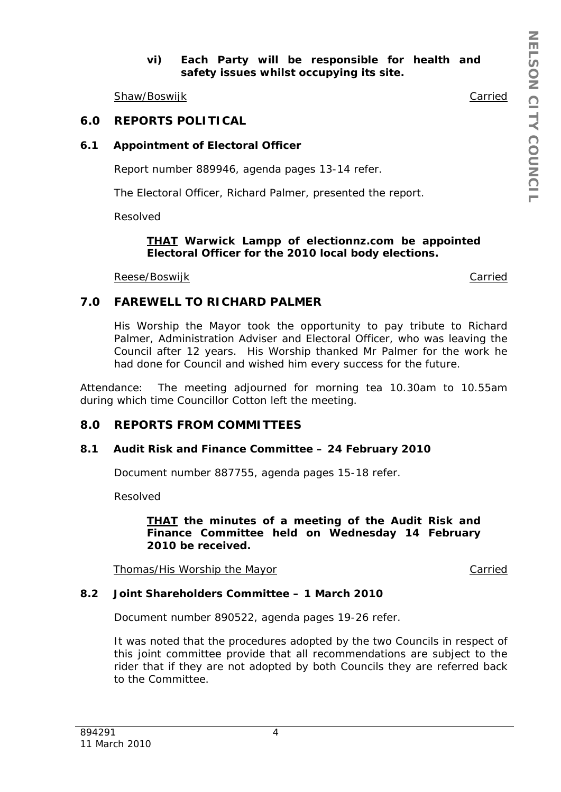## *vi) Each Party will be responsible for health and safety issues whilst occupying its site.*

Shaw/Boswijk **Carried** Carried Carried Carried Carried Carried Carried Carried Carried Carried Carried Carried Carried Carried Carried Carried Carried Carried Carried Carried Carried Carried Carried Carried Carried Carried

## **6.0 REPORTS POLITICAL**

## **6.1 Appointment of Electoral Officer**

Report number 889946, agenda pages 13-14 refer.

The Electoral Officer, Richard Palmer, presented the report.

Resolved

### *THAT Warwick Lampp of electionnz.com be appointed Electoral Officer for the 2010 local body elections.*

Reese/Boswijk Carried Carried Carried Carried Carried Carried Carried Carried Carried Carried Carried Carried

## **7.0 FAREWELL TO RICHARD PALMER**

His Worship the Mayor took the opportunity to pay tribute to Richard Palmer, Administration Adviser and Electoral Officer, who was leaving the Council after 12 years. His Worship thanked Mr Palmer for the work he had done for Council and wished him every success for the future.

Attendance: The meeting adjourned for morning tea 10.30am to 10.55am during which time Councillor Cotton left the meeting.

# **8.0 REPORTS FROM COMMITTEES**

## **8.1 Audit Risk and Finance Committee – 24 February 2010**

Document number 887755, agenda pages 15-18 refer.

Resolved

#### *THAT the minutes of a meeting of the Audit Risk and Finance Committee held on Wednesday 14 February 2010 be received.*

Thomas/His Worship the Mayor Carried Carried

## **8.2 Joint Shareholders Committee – 1 March 2010**

Document number 890522, agenda pages 19-26 refer.

It was noted that the procedures adopted by the two Councils in respect of this joint committee provide that all recommendations are subject to the rider that if they are not adopted by both Councils they are referred back to the Committee.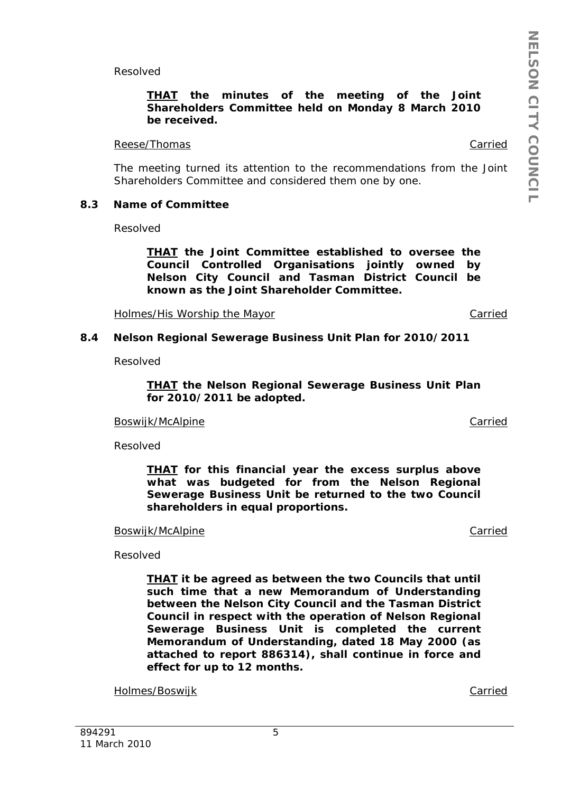Resolved

### *THAT the minutes of the meeting of the Joint Shareholders Committee held on Monday 8 March 2010 be received.*

#### Reese/Thomas Carried Carried Carried Carried Carried Carried Carried Carried Carried Carried Carried Carried Carried Carried Carried Carried Carried Carried Carried Carried Carried Carried Carried Carried Carried Carried C

The meeting turned its attention to the recommendations from the Joint Shareholders Committee and considered them one by one.

#### **8.3 Name of Committee**

Resolved

*THAT the Joint Committee established to oversee the Council Controlled Organisations jointly owned by Nelson City Council and Tasman District Council be known as the Joint Shareholder Committee.* 

Holmes/His Worship the Mayor **Carried** Carried

#### **8.4 Nelson Regional Sewerage Business Unit Plan for 2010/2011**

Resolved

*THAT the Nelson Regional Sewerage Business Unit Plan for 2010/2011 be adopted.* 

Boswijk/McAlpine Carried Carried Carried Carried Carried Carried Carried Carried Carried Carried Carried Carried Carried Carried Carried Carried Carried Carried Carried Carried Carried Carried Carried Carried Carried Carri

Resolved

*THAT for this financial year the excess surplus above what was budgeted for from the Nelson Regional Sewerage Business Unit be returned to the two Council shareholders in equal proportions.* 

#### Boswijk/McAlpine Carried

Resolved

*THAT it be agreed as between the two Councils that until such time that a new Memorandum of Understanding between the Nelson City Council and the Tasman District Council in respect with the operation of Nelson Regional Sewerage Business Unit is completed the current Memorandum of Understanding, dated 18 May 2000 (as attached to report 886314), shall continue in force and effect for up to 12 months.* 

Holmes/Boswijk Carried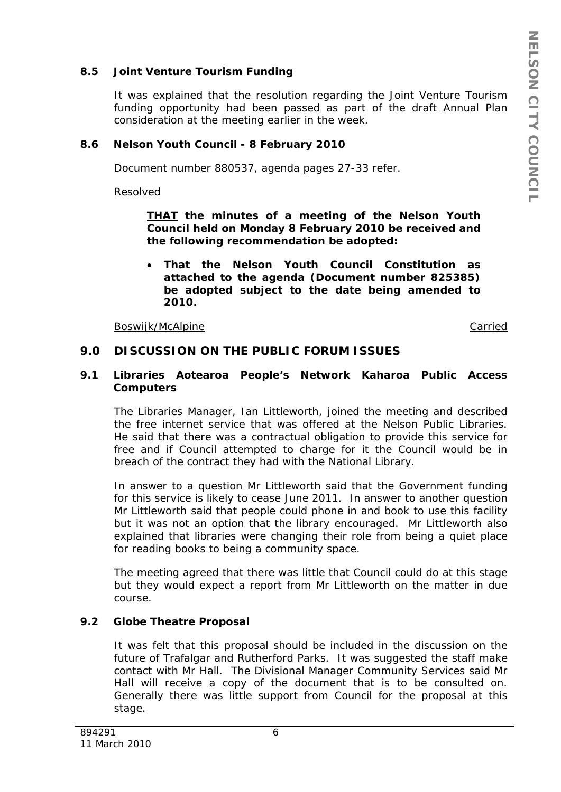## **8.5 Joint Venture Tourism Funding**

It was explained that the resolution regarding the Joint Venture Tourism funding opportunity had been passed as part of the draft Annual Plan consideration at the meeting earlier in the week.

## **8.6 Nelson Youth Council - 8 February 2010**

Document number 880537, agenda pages 27-33 refer.

Resolved

*THAT the minutes of a meeting of the Nelson Youth Council held on Monday 8 February 2010 be received and the following recommendation be adopted:* 

 *That the Nelson Youth Council Constitution as attached to the agenda (Document number 825385) be adopted subject to the date being amended to 2010.* 

Boswijk/McAlpine Carried Carried Carried Carried Carried Carried Carried Carried Carried Carried Carried Carried Carried Carried Carried Carried Carried Carried Carried Carried Carried Carried Carried Carried Carried Carri

## **9.0 DISCUSSION ON THE PUBLIC FORUM ISSUES**

### **9.1 Libraries Aotearoa People's Network Kaharoa Public Access Computers**

The Libraries Manager, Ian Littleworth, joined the meeting and described the free internet service that was offered at the Nelson Public Libraries. He said that there was a contractual obligation to provide this service for free and if Council attempted to charge for it the Council would be in breach of the contract they had with the National Library.

In answer to a question Mr Littleworth said that the Government funding for this service is likely to cease June 2011. In answer to another question Mr Littleworth said that people could phone in and book to use this facility but it was not an option that the library encouraged. Mr Littleworth also explained that libraries were changing their role from being a quiet place for reading books to being a community space.

The meeting agreed that there was little that Council could do at this stage but they would expect a report from Mr Littleworth on the matter in due course.

# **9.2 Globe Theatre Proposal**

It was felt that this proposal should be included in the discussion on the future of Trafalgar and Rutherford Parks. It was suggested the staff make contact with Mr Hall. The Divisional Manager Community Services said Mr Hall will receive a copy of the document that is to be consulted on. Generally there was little support from Council for the proposal at this stage.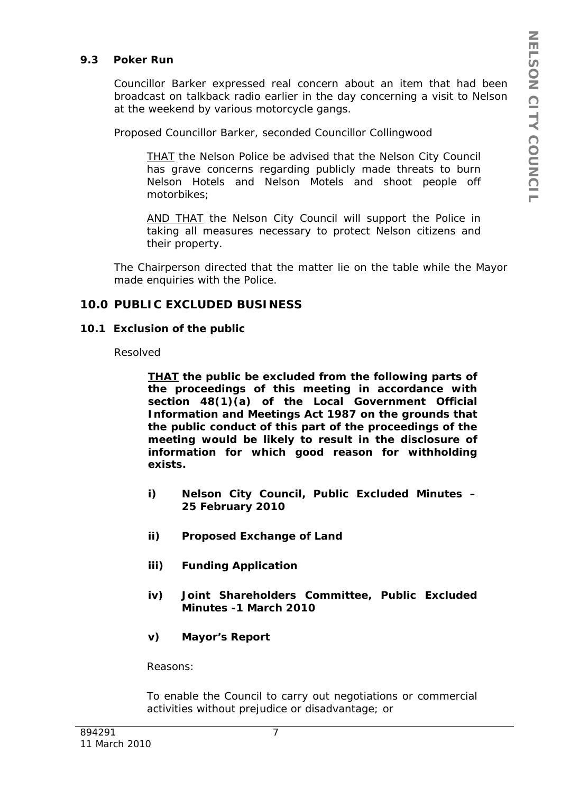### **9.3 Poker Run**

Councillor Barker expressed real concern about an item that had been broadcast on talkback radio earlier in the day concerning a visit to Nelson at the weekend by various motorcycle gangs.

Proposed Councillor Barker, seconded Councillor Collingwood

*THAT the Nelson Police be advised that the Nelson City Council has grave concerns regarding publicly made threats to burn Nelson Hotels and Nelson Motels and shoot people off motorbikes;* 

*AND THAT the Nelson City Council will support the Police in taking all measures necessary to protect Nelson citizens and their property.* 

The Chairperson directed that the matter lie on the table while the Mayor made enquiries with the Police.

## **10.0 PUBLIC EXCLUDED BUSINESS**

#### **10.1 Exclusion of the public**

Resolved

*THAT the public be excluded from the following parts of the proceedings of this meeting in accordance with section 48(1)(a) of the Local Government Official Information and Meetings Act 1987 on the grounds that the public conduct of this part of the proceedings of the meeting would be likely to result in the disclosure of information for which good reason for withholding exists.* 

- *i) Nelson City Council, Public Excluded Minutes 25 February 2010*
- *ii) Proposed Exchange of Land*
- *iii) Funding Application*
- *iv) Joint Shareholders Committee, Public Excluded Minutes -1 March 2010*
- *v) Mayor's Report*

*Reasons:* 

*To enable the Council to carry out negotiations or commercial activities without prejudice or disadvantage; or*